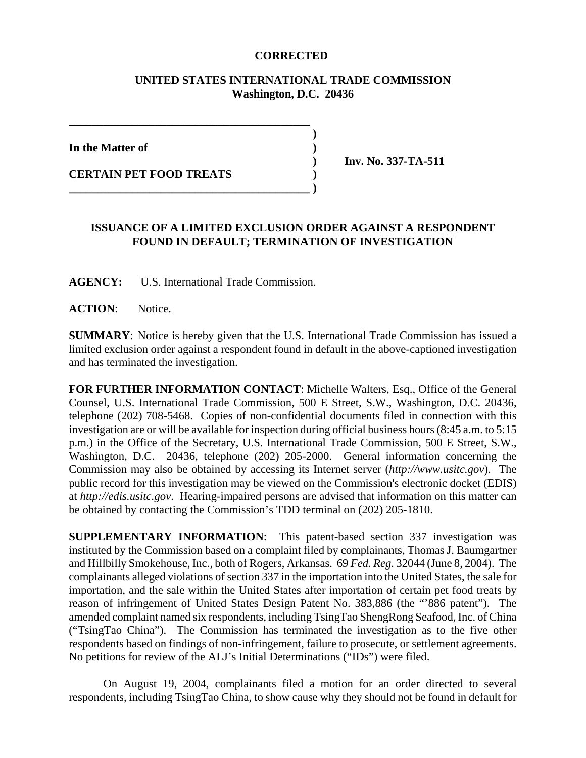## **CORRECTED**

## **UNITED STATES INTERNATIONAL TRADE COMMISSION Washington, D.C. 20436**

 **)**

**In the Matter of )**

**CERTAIN PET FOOD TREATS )** 

 **) Inv. No. 337-TA-511**

## **ISSUANCE OF A LIMITED EXCLUSION ORDER AGAINST A RESPONDENT FOUND IN DEFAULT; TERMINATION OF INVESTIGATION**

**AGENCY:** U.S. International Trade Commission.

**\_\_\_\_\_\_\_\_\_\_\_\_\_\_\_\_\_\_\_\_\_\_\_\_\_\_\_\_\_\_\_\_\_\_\_\_\_\_\_\_\_\_**

**\_\_\_\_\_\_\_\_\_\_\_\_\_\_\_\_\_\_\_\_\_\_\_\_\_\_\_\_\_\_\_\_\_\_\_\_\_\_\_\_\_\_ )**

**ACTION**: Notice.

**SUMMARY**: Notice is hereby given that the U.S. International Trade Commission has issued a limited exclusion order against a respondent found in default in the above-captioned investigation and has terminated the investigation.

**FOR FURTHER INFORMATION CONTACT**: Michelle Walters, Esq., Office of the General Counsel, U.S. International Trade Commission, 500 E Street, S.W., Washington, D.C. 20436, telephone (202) 708-5468. Copies of non-confidential documents filed in connection with this investigation are or will be available for inspection during official business hours (8:45 a.m. to 5:15 p.m.) in the Office of the Secretary, U.S. International Trade Commission, 500 E Street, S.W., Washington, D.C. 20436, telephone (202) 205-2000. General information concerning the Commission may also be obtained by accessing its Internet server (*http://www.usitc.gov*). The public record for this investigation may be viewed on the Commission's electronic docket (EDIS) at *http://edis.usitc.gov*. Hearing-impaired persons are advised that information on this matter can be obtained by contacting the Commission's TDD terminal on (202) 205-1810.

**SUPPLEMENTARY INFORMATION**: This patent-based section 337 investigation was instituted by the Commission based on a complaint filed by complainants, Thomas J. Baumgartner and Hillbilly Smokehouse, Inc., both of Rogers, Arkansas. 69 *Fed. Reg.* 32044 (June 8, 2004). The complainants alleged violations of section 337 in the importation into the United States, the sale for importation, and the sale within the United States after importation of certain pet food treats by reason of infringement of United States Design Patent No. 383,886 (the "'886 patent"). The amended complaint named six respondents, including TsingTao ShengRong Seafood, Inc. of China ("TsingTao China"). The Commission has terminated the investigation as to the five other respondents based on findings of non-infringement, failure to prosecute, or settlement agreements. No petitions for review of the ALJ's Initial Determinations ("IDs") were filed.

On August 19, 2004, complainants filed a motion for an order directed to several respondents, including TsingTao China, to show cause why they should not be found in default for